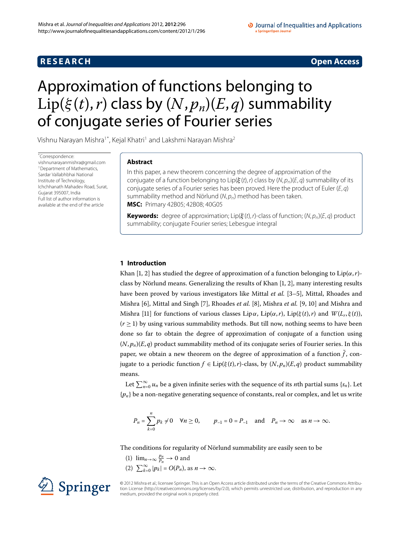# **R E S E A R C H Open Access**

#### O Journal of Inequalities and Applications a SpringerOpen Journa

# <span id="page-0-0"></span>Approximation of functions belonging to Lip( $\xi(t)$ , *r*) class by  $(N, p_n)(E, q)$  summability of conjugate series of Fourier series

Vishnu Narayan Mishra<sup>1[\\*](#page-0-0)</sup>, Kejal Khatri<sup>[1](#page-9-0)</sup> and Lakshmi Narayan Mishra<sup>[2](#page-9-1)</sup>

\* Correspondence: [vishnunarayanmishra@gmail.com](mailto:vishnunarayanmishra@gmail.com) <sup>1</sup> Department of Mathematics, Sardar Vallabhbhai National Institute of Technology, Ichchhanath Mahadev Road, Surat, Gujarat 395007, India Full list of author information is available at the end of the article

# **Abstract**

In this paper, a new theorem concerning the degree of approximation of the conjugate of a function belonging to Lip( $\xi(t)$ , r) class by (N, p<sub>n</sub>)(*E*, *q*) summability of its conjugate series of a Fourier series has been proved. Here the product of Euler ( $E, q$ ) summability method and Nörlund ( $N$ ,  $p_n$ ) method has been taken. **MSC:** Primary 42B05; 42B08; 40G05

**Keywords:** degree of approximation; Lip( $\xi(t)$ , r)-class of function; (N,  $p_n$ )(*E*, *q*) product summability; conjugate Fourier series; Lebesgue integral

# **1 Introduction**

Khan [1, 2[\]](#page-9-3) has studied the degree of approximation of a function belonging to  $Lip(\alpha, r)$ class by Nörlund means. Generalizing the results of Khan  $[1, 2]$ , many interesting results have been proved by various investigators like Mittal *et al.* [3[–](#page-9-5)5], Mittal, Rhoades and Mishra [\[](#page-9-9)6[\]](#page-9-8), Mittal and Singh [7], Rhoades *et al.* [8], Mishra *et al.* [9, 10] and Mishra and Mishra [11] for functions of various classes Lip $\alpha$ , Lip $(\alpha, r)$ , Lip $(\xi(t), r)$  and  $W(L_r, \xi(t))$ ,  $(r > 1)$  by using various summability methods. But till now, nothing seems to have been done so far to obtain the degree of approximation of conjugate of a function using  $(N, p_n)(E, q)$  product summability method of its conjugate series of Fourier series. In this paper, we obtain a new theorem on the degree of approximation of a function  $\hat{f}$ , conjugate to a periodic function  $f \in Lip(\xi(t), r)$ -class, by  $(N, p_n)(E, q)$  product summability means.

Let  $\sum_{n=0}^{\infty} u_n$  be a given infinite series with the sequence of its *n*th partial sums {*s<sub>n</sub>*}. Let  $\{p_n\}$  be a non-negative generating sequence of constants, real or complex, and let us write

$$
P_n = \sum_{k=0}^n p_k \neq 0 \quad \forall n \ge 0, \qquad p_{-1} = 0 = P_{-1} \quad \text{and} \quad P_n \to \infty \quad \text{as } n \to \infty.
$$

The conditions for regularity of Nörlund summability are easily seen to be

- (1)  $\lim_{n\to\infty} \frac{p_n}{p_n} \to 0$  and
- $(2)$   $\sum_{k=0}^{\infty} |p_k| = O(P_n)$ , as  $n \to \infty$ .



© 2012 Mishra et al.; licensee Springer. This is an Open Access article distributed under the terms of the Creative Commons Attribution License ([http://creativecommons.org/licenses/by/2.0\)](http://creativecommons.org/licenses/by/2.0), which permits unrestricted use, distribution, and reproduction in any medium, provided the original work is properly cited.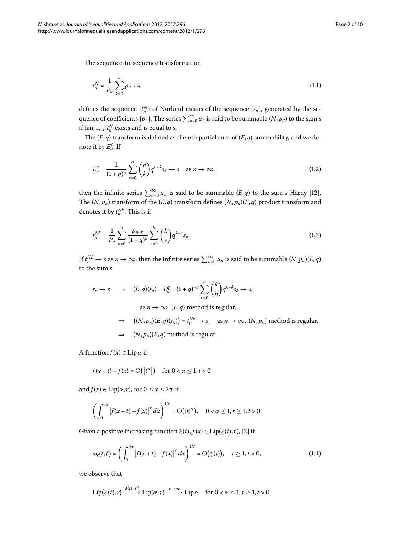The sequence-to-sequence transformation

<span id="page-1-0"></span>
$$
t_n^N = \frac{1}{P_n} \sum_{k=0}^n p_{n-k} s_k \tag{1.1}
$$

defines the sequence  $\{t_n^N\}$  of Nörlund means of the sequence  $\{s_n\}$ , generated by the sequence of coefficients  $\{p_n\}$ . The series  $\sum_{n=0}^{\infty} u_n$  is said to be summable  $(N, p_n)$  to the sum *s* if  $\lim_{n\to\infty}t_n^N$  exists and is equal to *s*.

The  $(E, q)$  transform is defined as the *n*th partial sum of  $(E, q)$  summability, and we denote it by  $E_n^q$ . If

$$
E_n^q = \frac{1}{(1+q)^n} \sum_{k=0}^n \binom{n}{k} q^{n-k} s_k \to s \quad \text{as } n \to \infty,
$$
\n(1.2)

then the infinite series  $\sum_{n=0}^{\infty} u_n$  is said to be summable  $(E, q)$  to the sum *s* Hardy [12[\]](#page-9-12). The  $(N, p_n)$  transform of the  $(E, q)$  transform defines  $(N, p_n)(E, q)$  product transform and denotes it by  $t_n^{NE}$ . This is if

$$
t_n^{NE} = \frac{1}{P_n} \sum_{k=0}^n \frac{p_{n-k}}{(1+q)^k} \sum_{\nu=0}^k \binom{k}{\nu} q^{k-\nu} s_{\nu}.
$$
 (1.3)

If  $t_n^{NE} \to s$  as  $n \to \infty$ , then the infinite series  $\sum_{n=0}^{\infty} u_n$  is said to be summable  $(N, p_n)(E, q)$ to the sum *s*.

$$
s_n \to s \quad \Rightarrow \quad (E, q)(s_n) = E_n^q = (1+q)^{-n} \sum_{k=0}^n {k \choose k} q^{n-k} s_k \to s,
$$

as  $n \to \infty$ ,  $(E, q)$  method is regular,

$$
\Rightarrow ((N, p_n)(E, q)(s_n)) = t_n^{NE} \to s, \text{ as } n \to \infty, (N, p_n) \text{ method is regular,}
$$
  

$$
\Rightarrow (N, p_n)(E, q) \text{ method is regular.}
$$

A function  $f(x) \in \text{Lip}\alpha$  if

$$
f(x+t) - f(x) = O(|t^{\alpha}|) \quad \text{for } 0 < \alpha \le 1, t > 0
$$

and  $f(x) \in Lip(\alpha, r)$ , for  $0 \le x \le 2\pi$  if

$$
\left(\int_0^{2\pi} \left|f(x+t) - f(x)\right|^r dx\right)^{1/r} = O(|t|^{\alpha}), \quad 0 < \alpha \leq 1, r \geq 1, t > 0.
$$

Given a positive increasing function  $\xi(t)$ ,  $f(x) \in \text{Lip}(\xi(t), r)$ , [\[](#page-9-3)2] if

$$
\omega_r(t;f) = \left(\int_0^{2\pi} \left|f(x+t) - f(x)\right|^r dx\right)^{1/r} = O(\xi(t)), \quad r \ge 1, t > 0,
$$
\n(1.4)

we observe that

$$
\operatorname{Lip} \bigl(\xi(t),r\bigr) \xrightarrow{\xi(t)=t^\alpha} \operatorname{Lip}(\alpha,r) \xrightarrow{r\to\infty} \operatorname{Lip}\alpha \quad \text{ for } 0<\alpha\leq 1, r\geq 1, t>0.
$$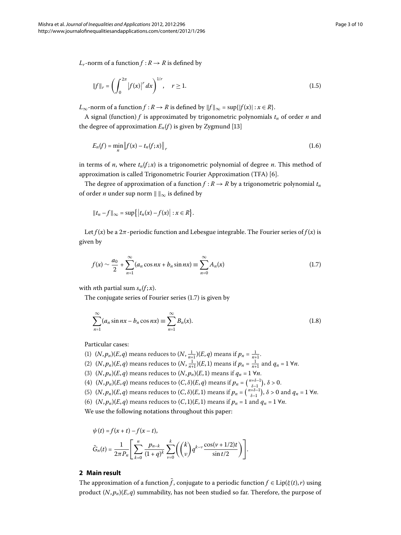*L<sub>r</sub>*-norm of a function  $f: R \to R$  is defined by

$$
||f||_{r} = \left(\int_{0}^{2\pi} |f(x)|^{r} dx\right)^{1/r}, \quad r \ge 1.
$$
 (1.5)

 $L_{\infty}$ -norm of a function  $f : R \to R$  is defined by  $||f||_{\infty} = \sup\{|f(x)| : x \in R\}.$ 

A signal (function)  $f$  is approximated by trigonometric polynomials  $t_n$  of order  $n$  and the degree of approximation  $E_n(f)$  is given by Zygmund [13]

$$
E_n(f) = \min_{n} \|f(x) - t_n(f; x)\|_r
$$
\n(1.6)

in terms of *n*, where  $t_n(f; x)$  is a trigonometric polynomial of degree *n*. This method of approximation is called Trigonometric Fourier Approximation (TFA) [6].

The degree of approximation of a function  $f: R \rightarrow R$  by a trigonometric polynomial  $t_n$ of order  $n$  under sup norm  $\|\ \|_\infty$  is defined by

<span id="page-2-0"></span>
$$
||t_n-f||_{\infty}=\sup\{|t_n(x)-f(x)|:x\in R\}.
$$

Let  $f(x)$  be a  $2\pi$ -periodic function and Lebesgue integrable. The Fourier series of  $f(x)$  is given by

<span id="page-2-1"></span>
$$
f(x) \sim \frac{a_0}{2} + \sum_{n=1}^{\infty} (a_n \cos nx + b_n \sin nx) \equiv \sum_{n=0}^{\infty} A_n(x)
$$
 (1.7)

with *n*th partial sum  $s_n(f; x)$ .

The conjugate series of Fourier series  $(1.7)$  $(1.7)$  $(1.7)$  is given by

$$
\sum_{n=1}^{\infty} (a_n \sin nx - b_n \cos nx) \equiv \sum_{n=1}^{\infty} B_n(x). \tag{1.8}
$$

Particular cases:

- (1)  $(N, p_n)(E, q)$  means reduces to  $(N, \frac{1}{n+1})(E, q)$  means if  $p_n = \frac{1}{n+1}$ .
- (2)  $(N, p_n)(E, q)$  means reduces to  $(N, \frac{1}{n+1})(E, 1)$  means if  $p_n = \frac{1}{n+1}$  and  $q_n = 1 \forall n$ .
- (3)  $(N, p_n)(E, q)$  means reduces to  $(N, p_n)(E, 1)$  means if  $q_n = 1 \forall n$ .
- (4)  $(N, p_n)(E, q)$  means reduces to  $(C, \delta)(E, q)$  means if  $p_n = \binom{n+\delta-1}{\delta-1}, \delta > 0$ .
- (5)  $(N, p_n)(E, q)$  means reduces to  $(C, \delta)(E, 1)$  means if  $p_n = \binom{n+\delta-1}{\delta-1}$ ,  $\delta > 0$  and  $q_n = 1 \forall n$ .
- (6)  $(N, p_n)(E, q)$  means reduces to  $(C, 1)(E, 1)$  means if  $p_n = 1$  and  $q_n = 1 \forall n$ .

We use the following notations throughout this paper:

$$
\psi(t) = f(x+t) - f(x-t),
$$
  

$$
\tilde{G}_n(t) = \frac{1}{2\pi P_n} \left[ \sum_{k=0}^n \frac{p_{n-k}}{(1+q)^k} \sum_{\nu=0}^k \left( \binom{k}{\nu} q^{k-\nu} \frac{\cos(\nu+1/2)t}{\sin t/2} \right) \right].
$$

### **2 Main result**

The approximation of a function  $\tilde{f}$ , conjugate to a periodic function  $f \in Lip(\xi(t), r)$  using product (*N*, *pn*)(*E*, *q*) summability, has not been studied so far. Therefore, the purpose of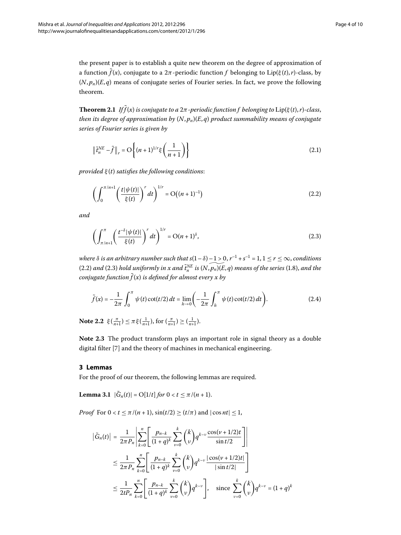<span id="page-3-3"></span>the present paper is to establish a quite new theorem on the degree of approximation of a function  $\tilde{f}(x)$ , conjugate to a  $2\pi$ -periodic function f belonging to  $Lip(\xi(t), r)$ -class, by  $(N, p_n)(E, q)$  means of conjugate series of Fourier series. In fact, we prove the following theorem.

**Theorem 2.1** *If*  $\tilde{f}(x)$  *is conjugate to a*  $2\pi$ *-periodic function f belonging to*  $\text{Lip}(\xi(t), r)$ *-class*, *then its degree of approximation by* (*N*, *pn*)(*E*, *q*) *product summability means of conjugate series of Fourier series is given by*

<span id="page-3-0"></span>
$$
\left\| \tilde{t}_n^{NE} - \tilde{f} \right\|_r = O\left\{ (n+1)^{1/r} \xi\left(\frac{1}{n+1}\right) \right\}
$$
 (2.1)

*provided ξ* (*t*) *satisfies the following conditions*:

<span id="page-3-1"></span>
$$
\left(\int_0^{\pi/n+1} \left(\frac{t|\psi(t)|}{\xi(t)}\right)^r dt\right)^{1/r} = O\left((n+1)^{-1}\right) \tag{2.2}
$$

*and*

$$
\left(\int_{\pi/n+1}^{\pi} \left(\frac{t^{-\delta}|\psi(t)|}{\xi(t)}\right)^r dt\right)^{1/r} = O(n+1)^{\delta},\tag{2.3}
$$

*where*  $\delta$  *is an arbitrary number such that s*(1 –  $\delta$ ) – 1  $>$  0,  $r^{-1}$  + s $^{-1}$  = 1, 1  $\leq$   $r$   $\leq$   $\infty$ , conditions (2[.](#page-2-1)2) and (2.3) hold uniformly in x and  $\tilde{t}^{\text{NE}}_n$  is  $(N, p_n) (E, q)$  means of the series (1.8), and the *conjugate function*  $\tilde{f}(x)$  *is defined for almost every x by* 

$$
\tilde{f}(x) = -\frac{1}{2\pi} \int_0^{\pi} \psi(t) \cot(t/2) dt = \lim_{h \to 0} \left( -\frac{1}{2\pi} \int_h^{\pi} \psi(t) \cot(t/2) dt \right).
$$
 (2.4)

**Note 2.2**  $\xi(\frac{\pi}{n+1}) \leq \pi \xi(\frac{1}{n+1}), \text{ for } (\frac{\pi}{n+1}) \geq (\frac{1}{n+1}).$ 

<span id="page-3-2"></span>**Note 2.3** The product transform plays an important role in signal theory as a double digital filter [\[](#page-9-7)7] and the theory of machines in mechanical engineering.

# **3 Lemmas**

For the proof of our theorem, the following lemmas are required.

**Lemma 3.1**  $|\tilde{G}_n(t)| = O[1/t]$  *for*  $0 < t \leq \pi/(n + 1)$ .

*Proof* For  $0 < t \le \pi/(n+1)$ ,  $\sin(t/2) \ge (t/\pi)$  and  $|\cos nt| \le 1$ ,

$$
\left| \tilde{G}_n(t) \right| = \frac{1}{2\pi P_n} \left| \sum_{k=0}^n \left[ \frac{p_{n-k}}{(1+q)^k} \sum_{\nu=0}^k {k \choose \nu} q^{k-\nu} \frac{\cos(\nu+1/2)t}{\sin t/2} \right] \right|
$$
  

$$
\leq \frac{1}{2\pi P_n} \sum_{k=0}^n \left[ \frac{p_{n-k}}{(1+q)^k} \sum_{\nu=0}^k {k \choose \nu} q^{k-\nu} \frac{|\cos(\nu+1/2)t|}{|\sin t/2|} \right]
$$
  

$$
\leq \frac{1}{2tP_n} \sum_{k=0}^n \left[ \frac{p_{n-k}}{(1+q)^k} \sum_{\nu=0}^k {k \choose \nu} q^{k-\nu} \right], \text{ since } \sum_{\nu=0}^k {k \choose \nu} q^{k-\nu} = (1+q)^k
$$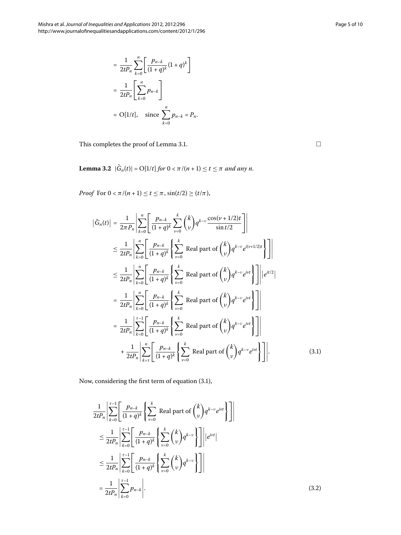$$
= \frac{1}{2tP_n} \sum_{k=0}^{n} \left[ \frac{p_{n-k}}{(1+q)^k} (1+q)^k \right]
$$
  
= 
$$
\frac{1}{2tP_n} \left[ \sum_{k=0}^{n} p_{n-k} \right]
$$
  
= 
$$
O[1/t], \text{ since } \sum_{k=0}^{n} p_{n-k} = P_n.
$$

<span id="page-4-2"></span>This completes the proof of Lemma 3[.](#page-3-2)1.

<span id="page-4-0"></span>**Lemma 3.2**  $|\tilde{G}_n(t)| = O[1/t]$  *for*  $0 < \pi/(n+1) \le t \le \pi$  *and any n*.

*Proof* For  $0 < \pi/(n+1) \le t \le \pi$ ,  $\sin(t/2) \ge (t/\pi)$ ,

$$
\left| \tilde{G}_n(t) \right| = \frac{1}{2\pi P_n} \left| \sum_{k=0}^n \left[ \frac{p_{n-k}}{(1+q)^k} \sum_{\nu=0}^k {k \choose \nu} q^{k-\nu} \frac{\cos(\nu+1/2)t}{\sin t/2} \right] \right|
$$
  
\n
$$
\leq \frac{1}{2tP_n} \left| \sum_{k=0}^n \left[ \frac{p_{n-k}}{(1+q)^k} \left\{ \sum_{\nu=0}^k \text{ Real part of } {k \choose \nu} q^{k-\nu} e^{i(\nu+1/2)t} \right\} \right] \right|
$$
  
\n
$$
\leq \frac{1}{2tP_n} \left| \sum_{k=0}^n \left[ \frac{p_{n-k}}{(1+q)^k} \left\{ \sum_{\nu=0}^k \text{ Real part of } {k \choose \nu} q^{k-\nu} e^{i\nu t} \right\} \right] \right| |e^{it/2}|
$$
  
\n
$$
= \frac{1}{2tP_n} \left| \sum_{k=0}^n \left[ \frac{p_{n-k}}{(1+q)^k} \left\{ \sum_{\nu=0}^k \text{ Real part of } {k \choose \nu} q^{k-\nu} e^{i\nu t} \right\} \right] \right|
$$
  
\n
$$
= \frac{1}{2tP_n} \left| \sum_{k=0}^{\tau-1} \left[ \frac{p_{n-k}}{(1+q)^k} \left\{ \sum_{\nu=0}^k \text{ Real part of } {k \choose \nu} q^{k-\nu} e^{i\nu t} \right\} \right] \right|
$$
  
\n
$$
+ \frac{1}{2tP_n} \left| \sum_{k=0}^n \left[ \frac{p_{n-k}}{(1+q)^k} \left\{ \sum_{\nu=0}^k \text{ Real part of } {k \choose \nu} q^{k-\nu} e^{i\nu t} \right\} \right] \right|.
$$
 (3.1)

<span id="page-4-1"></span>Now, considering the first term of equation  $(3.1)$ ,

$$
\frac{1}{2tP_n} \left| \sum_{k=0}^{\tau-1} \left[ \frac{p_{n-k}}{(1+q)^k} \left\{ \sum_{\nu=0}^k \text{ Real part of } {k \choose \nu} q^{k-\nu} e^{i\nu t} \right\} \right] \right|
$$
\n
$$
\leq \frac{1}{2tP_n} \left| \sum_{k=0}^{\tau-1} \left[ \frac{p_{n-k}}{(1+q)^k} \left\{ \sum_{\nu=0}^k {k \choose \nu} q^{k-\nu} \right\} \right] \right| |e^{i\nu t}|
$$
\n
$$
\leq \frac{1}{2tP_n} \left| \sum_{k=0}^{\tau-1} \left[ \frac{p_{n-k}}{(1+q)^k} \left\{ \sum_{\nu=0}^k {k \choose \nu} q^{k-\nu} \right\} \right] \right|
$$
\n
$$
= \frac{1}{2tP_n} \left| \sum_{k=0}^{\tau-1} p_{n-k} \right|.
$$
\n(3.2)

 $\Box$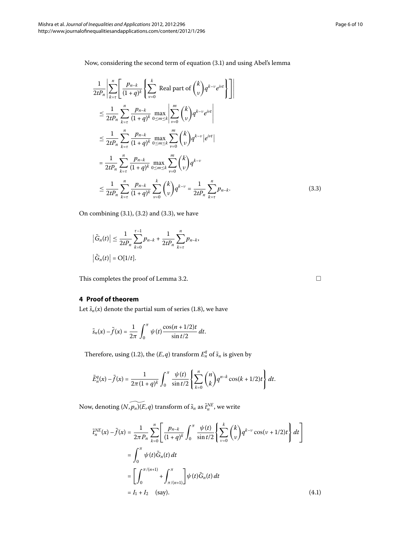<span id="page-5-0"></span>Now, considering the second term of equation (3[.](#page-4-0)1) and using Abel's lemma

$$
\frac{1}{2tP_n} \left| \sum_{k=\tau}^{n} \left[ \frac{p_{n-k}}{(1+q)^k} \left\{ \sum_{\nu=0}^k \text{ Real part of } {k \choose \nu} q^{k-\nu} e^{i\nu t} \right\} \right] \right|
$$
\n
$$
\leq \frac{1}{2tP_n} \sum_{k=\tau}^{n} \frac{p_{n-k}}{(1+q)^k} \max_{0 \leq m \leq k} \left| \sum_{\nu=0}^{m} {k \choose \nu} q^{k-\nu} e^{i\nu t} \right|
$$
\n
$$
\leq \frac{1}{2tP_n} \sum_{k=\tau}^{n} \frac{p_{n-k}}{(1+q)^k} \max_{0 \leq m \leq k} \sum_{\nu=0}^{m} {k \choose \nu} q^{k-\nu} |e^{i\nu t}|
$$
\n
$$
= \frac{1}{2tP_n} \sum_{k=\tau}^{n} \frac{p_{n-k}}{(1+q)^k} \max_{0 \leq m \leq k} \sum_{\nu=0}^{m} {k \choose \nu} q^{k-\nu}
$$
\n
$$
\leq \frac{1}{2tP_n} \sum_{k=\tau}^{n} \frac{p_{n-k}}{(1+q)^k} \sum_{\nu=0}^{k} {k \choose \nu} q^{k-\nu} = \frac{1}{2tP_n} \sum_{k=\tau}^{n} p_{n-k}.
$$
\n(3.3)

On combining  $(3.1)$ ,  $(3.2)$  and  $(3.3)$ , we have

$$
\left|\tilde{G}_n(t)\right| \le \frac{1}{2tP_n} \sum_{k=0}^{\tau-1} p_{n-k} + \frac{1}{2tP_n} \sum_{k=\tau}^n p_{n-k},
$$
  

$$
\left|\tilde{G}_n(t)\right| = O[1/t].
$$

This completes the proof of Lemma 3[.](#page-4-2)2.

# **4 Proof of theorem**

Let  $\tilde{s}_n(x)$  denote the partial sum of series (1.8), we have

$$
\tilde{s}_n(x)-\tilde{f}(x)=\frac{1}{2\pi}\int_0^\pi \psi(t)\frac{\cos(n+1/2)t}{\sin t/2}\,dt.
$$

Therefore, using (1[.](#page-1-0)2), the  $(E, q)$  transform  $E_n^q$  of  $\tilde{s}_n$  is given by

$$
\tilde{E}_n^q(x) - \tilde{f}(x) = \frac{1}{2\pi(1+q)^k} \int_0^\pi \frac{\psi(t)}{\sin t/2} \left\{ \sum_{k=0}^n \binom{n}{k} q^{n-k} \cos((k+1/2)t) \right\} dt.
$$

Now, denoting  $(N, p_n)$ (*E*, *q*) transform of  $\tilde{s}_n$  as  $\tilde{t}_n^{NE}$ , we write

$$
\tilde{t}_{n}^{NE}(x) - \tilde{f}(x) = \frac{1}{2\pi P_{n}} \sum_{k=0}^{n} \left[ \frac{p_{n-k}}{(1+q)^{k}} \int_{0}^{\pi} \frac{\psi(t)}{\sin t/2} \left\{ \sum_{\nu=0}^{k} {k \choose \nu} q^{k-\nu} \cos(\nu+1/2)t \right\} dt \right]
$$
\n
$$
= \int_{0}^{\pi} \psi(t) \tilde{G}_{n}(t) dt
$$
\n
$$
= \left[ \int_{0}^{\pi/(n+1)} + \int_{\pi/(n+1)}^{\pi} \psi(t) \tilde{G}_{n}(t) dt \right]
$$
\n
$$
= I_{1} + I_{2} \quad \text{(say)}.
$$
\n(4.1)

 $\Box$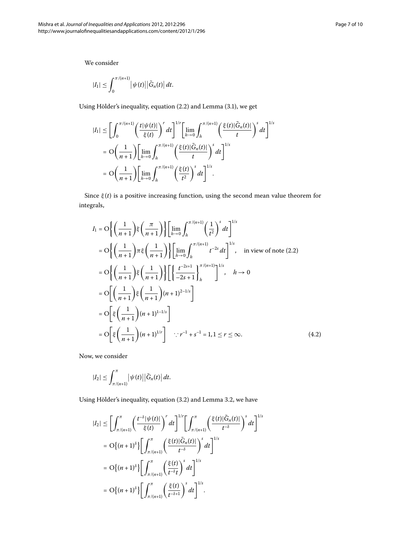We consider

$$
|I_1|\leq \int_0^{\pi/(n+1)}\left|\psi(t)\right|\left|\tilde{G}_n(t)\right|dt.
$$

Using Hölder's inequality, equation (2.2) and Lemma (3.1), we get

$$
|I_1| \leq \left[\int_0^{\pi/(n+1)} \left(\frac{t|\psi(t)|}{\xi(t)}\right)^r dt\right]^{1/r} \left[\lim_{h\to 0} \int_h^{\pi/(n+1)} \left(\frac{\xi(t)|\tilde{G}_n(t)|}{t}\right)^s dt\right]^{1/s}
$$
  

$$
= O\left(\frac{1}{n+1}\right) \left[\lim_{h\to 0} \int_h^{\pi/(n+1)} \left(\frac{\xi(t)|\tilde{G}_n(t)|}{t}\right)^s dt\right]^{1/s}
$$
  

$$
= O\left(\frac{1}{n+1}\right) \left[\lim_{h\to 0} \int_h^{\pi/(n+1)} \left(\frac{\xi(t)}{t^2}\right)^s dt\right]^{1/s}.
$$

Since *ξ* (*t*) is a positive increasing function, using the second mean value theorem for integrals,

$$
I_{1} = O\left\{ \left( \frac{1}{n+1} \right) \xi \left( \frac{\pi}{n+1} \right) \right\} \left[ \lim_{h \to 0} \int_{h}^{\pi/(n+1)} \left( \frac{1}{t^{2}} \right)^{s} dt \right]^{1/s}
$$
  
\n
$$
= O\left\{ \left( \frac{1}{n+1} \right) \pi \xi \left( \frac{1}{n+1} \right) \right\} \left[ \lim_{h \to 0} \int_{h}^{\pi/(n+1)} t^{-2s} dt \right]^{1/s}, \text{ in view of note (2.2)}
$$
  
\n
$$
= O\left\{ \left( \frac{1}{n+1} \right) \xi \left( \frac{1}{n+1} \right) \right\} \left[ \left\{ \frac{t^{-2s+1}}{-2s+1} \right\}_{h}^{\pi/(n+1)} \right]^{1/s}, \quad h \to 0
$$
  
\n
$$
= O\left[ \left( \frac{1}{n+1} \right) \xi \left( \frac{1}{n+1} \right) (n+1)^{2-1/s} \right]
$$
  
\n
$$
= O\left[ \xi \left( \frac{1}{n+1} \right) (n+1)^{1-1/s} \right]
$$
  
\n
$$
= O\left[ \xi \left( \frac{1}{n+1} \right) (n+1)^{1/r} \right] \quad \therefore r^{-1} + s^{-1} = 1, 1 \le r \le \infty.
$$
 (4.2)

Now, we consider

$$
|I_2|\leq \int_{\pi/(n+1)}^{\pi}\left|\psi(t)\right|\left|\tilde{G}_n(t)\right|dt.
$$

Using Hölder's inequality, equation (3[.](#page-4-2)2) and Lemma 3.2, we have

$$
|I_2| \leq \left[\int_{\pi/(n+1)}^{\pi} \left(\frac{t^{-\delta}|\psi(t)|}{\xi(t)}\right)^r dt\right]^{1/r} \left[\int_{\pi/(n+1)}^{\pi} \left(\frac{\xi(t)|\tilde{G}_n(t)|}{t^{-\delta}}\right)^s dt\right]^{1/s}
$$
  
\n
$$
= O\{(n+1)^{\delta}\} \left[\int_{\pi/(n+1)}^{\pi} \left(\frac{\xi(t)|\tilde{G}_n(t)|}{t^{-\delta}}\right)^s dt\right]^{1/s}
$$
  
\n
$$
= O\{(n+1)^{\delta}\} \left[\int_{\pi/(n+1)}^{\pi} \left(\frac{\xi(t)}{t^{-\delta}t}\right)^s dt\right]^{1/s}
$$
  
\n
$$
= O\{(n+1)^{\delta}\} \left[\int_{\pi/(n+1)}^{\pi} \left(\frac{\xi(t)}{t^{-\delta+1}}\right)^s dt\right]^{1/s}.
$$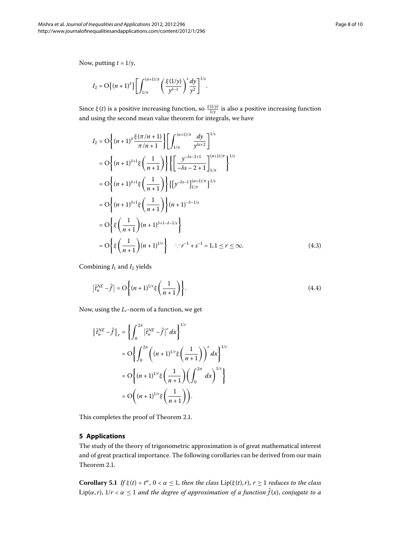Now, putting  $t = 1/y$ ,

$$
I_2=\mathrm{O}\Big\{(n+1)^\delta\Big\}\Bigg[\int_{1/\pi}^{(n+1)/\pi}\Bigg(\frac{\xi(1/y)}{y^{\delta-1}}\Bigg)^s\frac{dy}{y^2}\Bigg]^{1/s}.
$$

Since  $\xi(t)$  is a positive increasing function, so  $\frac{\xi(1/y)}{1/y}$  is also a positive increasing function and using the second mean value theorem for integrals, we have

$$
I_2 = O\left\{ (n+1)^{\delta} \frac{\xi(\pi/n+1)}{\pi/n+1} \right\} \left[ \int_{1/\pi}^{(n+1)/\pi} \frac{dy}{y^{\delta s+2}} \right]^{1/s}
$$
  
\n
$$
= O\left\{ (n+1)^{\delta+1} \xi \left( \frac{1}{n+1} \right) \right\} \left\{ \left[ \frac{y^{-\delta s - 2 + 1}}{-\delta s - 2 + 1} \right]_{1/\pi}^{(n+1)/\pi} \right\}^{1/s}
$$
  
\n
$$
= O\left\{ (n+1)^{\delta+1} \xi \left( \frac{1}{n+1} \right) \right\} \left\{ \left[ y^{-\delta s - 1} \right]_{1/\pi}^{(n+1)/\pi} \right\}^{1/s}
$$
  
\n
$$
= O\left\{ (n+1)^{\delta+1} \xi \left( \frac{1}{n+1} \right) \right\} (n+1)^{-\delta-1/s}
$$
  
\n
$$
= O\left\{ \xi \left( \frac{1}{n+1} \right) (n+1)^{\delta+1-\delta-1/s} \right\}
$$
  
\n
$$
= O\left\{ \xi \left( \frac{1}{n+1} \right) (n+1)^{1/r} \right\} \quad \therefore r^{-1} + s^{-1} = 1, 1 \le r \le \infty.
$$
 (4.3)

Combining  $I_1$  and  $I_2$  yields

$$
\left|\tilde{t}_n^{NE} - \tilde{f}\right| = O\left\{(n+1)^{1/r}\xi\left(\frac{1}{n+1}\right)\right\}.
$$
\n(4.4)

Now, using the *Lr*-norm of a function, we get

$$
\begin{aligned} \left\| \tilde{t}_{n}^{NE} - \tilde{f} \right\|_{r} &= \left\{ \int_{0}^{2\pi} \left| \tilde{t}_{n}^{NE} - \tilde{f} \right|^{r} dx \right\}^{1/r} \\ &= \mathcal{O} \left\{ \int_{0}^{2\pi} \left( (n+1)^{1/r} \xi \left( \frac{1}{n+1} \right) \right)^{r} dx \right\}^{1/r} \\ &= \mathcal{O} \left\{ (n+1)^{1/r} \xi \left( \frac{1}{n+1} \right) \left( \int_{0}^{2\pi} dx \right)^{1/r} \right\} \\ &= \mathcal{O} \left( (n+1)^{1/r} \xi \left( \frac{1}{n+1} \right) \right). \end{aligned}
$$

<span id="page-7-0"></span>This completes the proof of Theorem 2[.](#page-3-3)1.

# **5 Applications**

The study of the theory of trigonometric approximation is of great mathematical interest and of great practical importance. The following corollaries can be derived from our main Theorem 2[.](#page-3-3)1.

**Corollary 5.1** *If*  $\xi(t) = t^{\alpha}$ ,  $0 < \alpha \leq 1$ , *then the class* Lip( $\xi(t)$ ,*r*), *r*  $\geq 1$  *reduces to the class* Lip( $\alpha$ ,*r*),  $1/r < \alpha \leq 1$  and the degree of approximation of a function  $\tilde{f}(x)$ , conjugate to a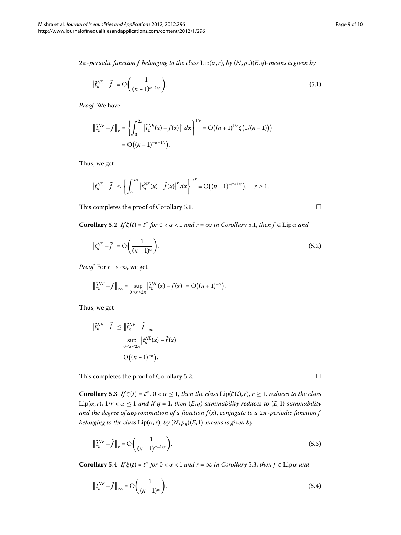*π-periodic function f belonging to the class* Lip(*α*,*r*), *by* (*N*, *pn*)(*E*, *q*)*-means is given by*

$$
\left|\tilde{t}_n^{NE} - \tilde{f}\right| = \mathcal{O}\left(\frac{1}{(n+1)^{\alpha - 1/r}}\right). \tag{5.1}
$$

*Proof* We have

$$
\left\| \tilde{t}_n^{NE} - \tilde{f} \right\|_r = \left\{ \int_0^{2\pi} \left| \tilde{t}_n^{NE}(x) - \tilde{f}(x) \right|^r dx \right\}^{1/r} = \mathcal{O}\left( (n+1)^{1/r} \xi \left( 1/(n+1) \right) \right)
$$
  
=  $\mathcal{O}\left( (n+1)^{-\alpha+1/r} \right).$ 

<span id="page-8-0"></span>Thus, we get

$$
\left|\tilde{t}_n^{NE}-\tilde{f}\right|\leq \left\{\int_0^{2\pi}\left|\tilde{t}_n^{NE}(x)-\tilde{f}(x)\right|^r dx\right\}^{1/r}=\mathrm{O}\big((n+1)^{-\alpha+1/r}\big),\quad r\geq 1.
$$

This completes the proof of Corollary 5[.](#page-7-0)1.  $\Box$ 

**Corollary 5[.](#page-7-0)2** *If*  $\xi(t) = t^{\alpha}$  *for*  $0 < \alpha < 1$  *and*  $r = \infty$  *in Corollary* 5.1*, then*  $f \in \text{Lip}\alpha$  *and* 

$$
\left|\tilde{t}_n^{NE} - \tilde{f}\right| = \mathcal{O}\left(\frac{1}{(n+1)^\alpha}\right). \tag{5.2}
$$

*Proof* For  $r \to \infty$ , we get

$$
\left\|\tilde{t}_{n}^{NE}-\tilde{f}\right\|_{\infty}=\sup_{0\leq x\leq 2\pi}\left|\tilde{t}_{n}^{NE}(x)-\tilde{f}(x)\right|=\mathrm{O}\big((n+1)^{-\alpha}\big).
$$

Thus, we get

<span id="page-8-1"></span> $\overline{\phantom{a}}$ 

$$
\left| \tilde{t}_n^{NE} - \tilde{f} \right| \leq \left\| \tilde{t}_n^{NE} - \tilde{f} \right\|_{\infty}
$$
  
= 
$$
\sup_{0 \leq x \leq 2\pi} \left| \tilde{t}_n^{NE}(x) - \tilde{f}(x) \right|
$$
  
= 
$$
O((n+1)^{-\alpha}).
$$

This completes the proof of Corollary 5[.](#page-8-0)2.

**Corollary 5.3** *If*  $\xi(t) = t^{\alpha}$ ,  $0 < \alpha \leq 1$ , then the class Lip( $\xi(t)$ ,  $r$ ),  $r \geq 1$ , reduces to the class Lip( $\alpha$ ,*r*),  $1/r < \alpha \leq 1$  and if  $q = 1$ , then  $(E, q)$  summability reduces to  $(E, 1)$  summability *and the degree of approximation of a function*  $\tilde{f}(x)$ , *conjugate to a*  $2\pi$ -periodic function f *belonging to the class*  $Lip(\alpha, r)$ , *by*  $(N, p_n)(E, 1)$ *-means is given by* 

$$
\left\| \tilde{t}_n^{NE} - \tilde{f} \right\|_r = \mathcal{O}\left(\frac{1}{(n+1)^{\alpha - 1/r}}\right). \tag{5.3}
$$

**Corollary 5[.](#page-8-1)4** *If*  $\xi(t) = t^{\alpha}$  *for*  $0 < \alpha < 1$  *and*  $r = \infty$  *in Corollary* 5.3*, then*  $f \in \text{Lip}\alpha$  *and* 

$$
\left\| \tilde{t}_n^{NE} - \tilde{f} \right\|_{\infty} = \mathcal{O}\left(\frac{1}{(n+1)^{\alpha}}\right). \tag{5.4}
$$

 $\Box$